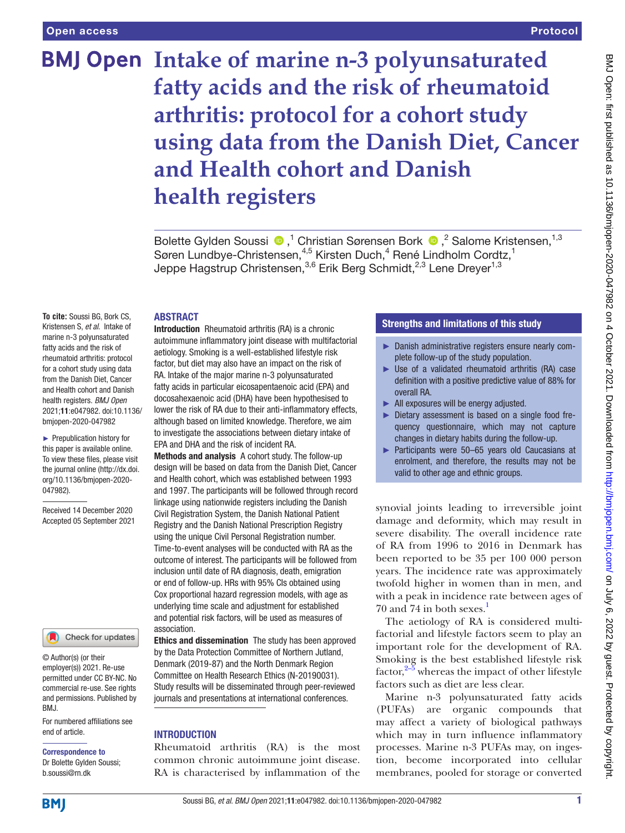# **BMJ Open Intake of marine n-3 polyunsaturated fatty acids and the risk of rheumatoid arthritis: protocol for a cohort study using data from the Danish Diet, Cancer and Health cohort and Danish health registers**

BoletteGylden Soussi <sup>®</sup>,<sup>1</sup> Christian Sørensen Bork <sup>®</sup>,<sup>2</sup> Salome Kristensen,<sup>1,3</sup> Søren Lundbye-Christensen,<sup>4,5</sup> Kirsten Duch,<sup>4</sup> René Lindholm Cordtz,<sup>1</sup> Jeppe Hagstrup Christensen,<sup>3,6</sup> Erik Berg Schmidt,<sup>2,3</sup> Lene Dreyer<sup>1,3</sup>

#### ABSTRACT

**To cite:** Soussi BG, Bork CS, Kristensen S, *et al*. Intake of marine n-3 polyunsaturated fatty acids and the risk of rheumatoid arthritis: protocol for a cohort study using data from the Danish Diet, Cancer and Health cohort and Danish health registers. *BMJ Open* 2021;11:e047982. doi:10.1136/ bmjopen-2020-047982

► Prepublication history for this paper is available online. To view these files, please visit the journal online [\(http://dx.doi.](http://dx.doi.org/10.1136/bmjopen-2020-047982) [org/10.1136/bmjopen-2020-](http://dx.doi.org/10.1136/bmjopen-2020-047982) [047982\)](http://dx.doi.org/10.1136/bmjopen-2020-047982).

Received 14 December 2020 Accepted 05 September 2021



© Author(s) (or their employer(s)) 2021. Re-use permitted under CC BY-NC. No commercial re-use. See rights and permissions. Published by BMJ.

For numbered affiliations see end of article.

Correspondence to Dr Bolette Gylden Soussi; b.soussi@rn.dk

Introduction Rheumatoid arthritis (RA) is a chronic autoimmune inflammatory joint disease with multifactorial aetiology. Smoking is a well-established lifestyle risk factor, but diet may also have an impact on the risk of RA. Intake of the major marine n-3 polyunsaturated fatty acids in particular eicosapentaenoic acid (EPA) and docosahexaenoic acid (DHA) have been hypothesised to lower the risk of RA due to their anti-inflammatory effects, although based on limited knowledge. Therefore, we aim to investigate the associations between dietary intake of EPA and DHA and the risk of incident RA.

Methods and analysis A cohort study. The follow-up design will be based on data from the Danish Diet, Cancer and Health cohort, which was established between 1993 and 1997. The participants will be followed through record linkage using nationwide registers including the Danish Civil Registration System, the Danish National Patient Registry and the Danish National Prescription Registry using the unique Civil Personal Registration number. Time-to-event analyses will be conducted with RA as the outcome of interest. The participants will be followed from inclusion until date of RA diagnosis, death, emigration or end of follow-up. HRs with 95% CIs obtained using Cox proportional hazard regression models, with age as underlying time scale and adjustment for established and potential risk factors, will be used as measures of association.

Ethics and dissemination The study has been approved by the Data Protection Committee of Northern Jutland, Denmark (2019-87) and the North Denmark Region Committee on Health Research Ethics (N-20190031). Study results will be disseminated through peer-reviewed journals and presentations at international conferences.

## **INTRODUCTION**

Rheumatoid arthritis (RA) is the most common chronic autoimmune joint disease. RA is characterised by inflammation of the

## Strengths and limitations of this study

- ► Danish administrative registers ensure nearly complete follow-up of the study population.
- ► Use of a validated rheumatoid arthritis (RA) case definition with a positive predictive value of 88% for overall RA.
- ► All exposures will be energy adjusted.
- ► Dietary assessment is based on a single food frequency questionnaire, which may not capture changes in dietary habits during the follow-up.
- ► Participants were 50–65 years old Caucasians at enrolment, and therefore, the results may not be valid to other age and ethnic groups.

synovial joints leading to irreversible joint damage and deformity, which may result in severe disability. The overall incidence rate of RA from 1996 to 2016 in Denmark has been reported to be 35 per 100 000 person years. The incidence rate was approximately twofold higher in women than in men, and with a peak in incidence rate between ages of 70 and 74 in both sexes. $<sup>1</sup>$  $<sup>1</sup>$  $<sup>1</sup>$ </sup>

The aetiology of RA is considered multifactorial and lifestyle factors seem to play an important role for the development of RA. Smoking is the best established lifestyle risk  $factor<sup>2–5</sup>$  whereas the impact of other lifestyle factors such as diet are less clear.

Marine n-3 polyunsaturated fatty acids (PUFAs) are organic compounds that may affect a variety of biological pathways which may in turn influence inflammatory processes. Marine n-3 PUFAs may, on ingestion, become incorporated into cellular membranes, pooled for storage or converted

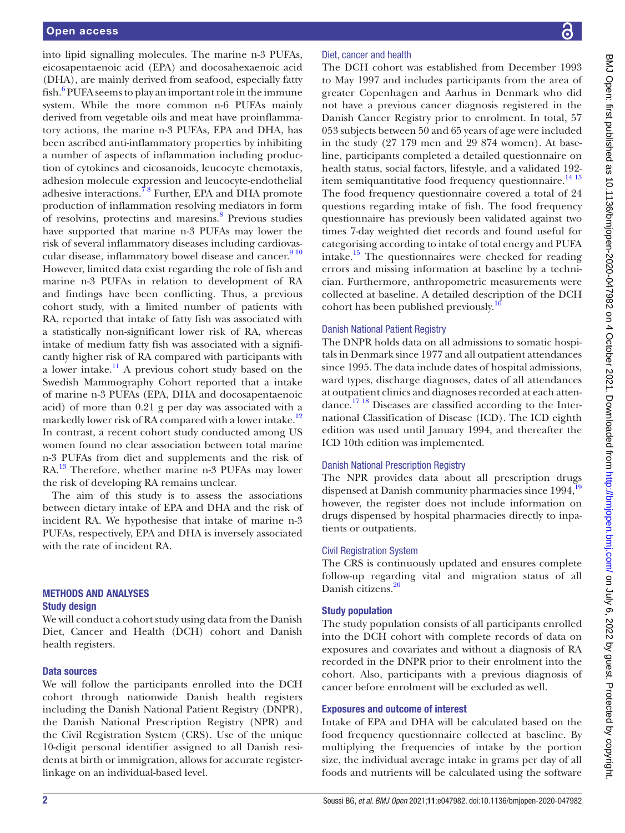into lipid signalling molecules. The marine n-3 PUFAs, eicosapentaenoic acid (EPA) and docosahexaenoic acid (DHA), are mainly derived from seafood, especially fatty fish.<sup>[6](#page-4-2)</sup> PUFA seems to play an important role in the immune system. While the more common n-6 PUFAs mainly derived from vegetable oils and meat have proinflammatory actions, the marine n-3 PUFAs, EPA and DHA, has been ascribed anti-inflammatory properties by inhibiting a number of aspects of inflammation including production of cytokines and eicosanoids, leucocyte chemotaxis, adhesion molecule expression and leucocyte-endothelial adhesive interactions.<sup>78</sup> Further, EPA and DHA promote production of inflammation resolving mediators in form of resolvins, protectins and maresins.<sup>[8](#page-5-0)</sup> Previous studies have supported that marine n-3 PUFAs may lower the risk of several inflammatory diseases including cardiovascular disease, inflammatory bowel disease and cancer.<sup>910</sup> However, limited data exist regarding the role of fish and marine n-3 PUFAs in relation to development of RA and findings have been conflicting. Thus, a previous cohort study, with a limited number of patients with RA, reported that intake of fatty fish was associated with a statistically non-significant lower risk of RA, whereas intake of medium fatty fish was associated with a significantly higher risk of RA compared with participants with a lower intake. $\frac{11}{11}$  A previous cohort study based on the Swedish Mammography Cohort reported that a intake of marine n-3 PUFAs (EPA, DHA and docosapentaenoic acid) of more than 0.21 g per day was associated with a markedly lower risk of RA compared with a lower intake.<sup>[12](#page-5-3)</sup> In contrast, a recent cohort study conducted among US women found no clear association between total marine n-3 PUFAs from diet and supplements and the risk of RA.<sup>[13](#page-5-4)</sup> Therefore, whether marine n-3 PUFAs may lower the risk of developing RA remains unclear.

The aim of this study is to assess the associations between dietary intake of EPA and DHA and the risk of incident RA. We hypothesise that intake of marine n-3 PUFAs, respectively, EPA and DHA is inversely associated with the rate of incident RA.

## METHODS AND ANALYSES Study design

We will conduct a cohort study using data from the Danish Diet, Cancer and Health (DCH) cohort and Danish health registers.

## Data sources

We will follow the participants enrolled into the DCH cohort through nationwide Danish health registers including the Danish National Patient Registry (DNPR), the Danish National Prescription Registry (NPR) and the Civil Registration System (CRS). Use of the unique 10-digit personal identifier assigned to all Danish residents at birth or immigration, allows for accurate registerlinkage on an individual-based level.

## Diet, cancer and health

The DCH cohort was established from December 1993 to May 1997 and includes participants from the area of greater Copenhagen and Aarhus in Denmark who did not have a previous cancer diagnosis registered in the Danish Cancer Registry prior to enrolment. In total, 57 053 subjects between 50 and 65 years of age were included in the study (27 179 men and 29 874 women). At baseline, participants completed a detailed questionnaire on health status, social factors, lifestyle, and a validated 192- item semiquantitative food frequency questionnaire.<sup>[14 15](#page-5-5)</sup> The food frequency questionnaire covered a total of 24 questions regarding intake of fish. The food frequency questionnaire has previously been validated against two times 7-day weighted diet records and found useful for categorising according to intake of total energy and PUFA intake.[15](#page-5-6) The questionnaires were checked for reading errors and missing information at baseline by a technician. Furthermore, anthropometric measurements were collected at baseline. A detailed description of the DCH cohort has been published previously.<sup>1</sup>

## Danish National Patient Registry

The DNPR holds data on all admissions to somatic hospitals in Denmark since 1977 and all outpatient attendances since 1995. The data include dates of hospital admissions, ward types, discharge diagnoses, dates of all attendances at outpatient clinics and diagnoses recorded at each attendance.[17 18](#page-5-8) Diseases are classified according to the International Classification of Disease (ICD). The ICD eighth edition was used until January 1994, and thereafter the ICD 10th edition was implemented.

## Danish National Prescription Registry

The NPR provides data about all prescription drugs dispensed at Danish community pharmacies since  $1994$  $1994$ ,<sup>1</sup> however, the register does not include information on drugs dispensed by hospital pharmacies directly to inpatients or outpatients.

## Civil Registration System

The CRS is continuously updated and ensures complete follow-up regarding vital and migration status of all Danish citizens.<sup>[20](#page-5-10)</sup>

## Study population

The study population consists of all participants enrolled into the DCH cohort with complete records of data on exposures and covariates and without a diagnosis of RA recorded in the DNPR prior to their enrolment into the cohort. Also, participants with a previous diagnosis of cancer before enrolment will be excluded as well.

## Exposures and outcome of interest

Intake of EPA and DHA will be calculated based on the food frequency questionnaire collected at baseline. By multiplying the frequencies of intake by the portion size, the individual average intake in grams per day of all foods and nutrients will be calculated using the software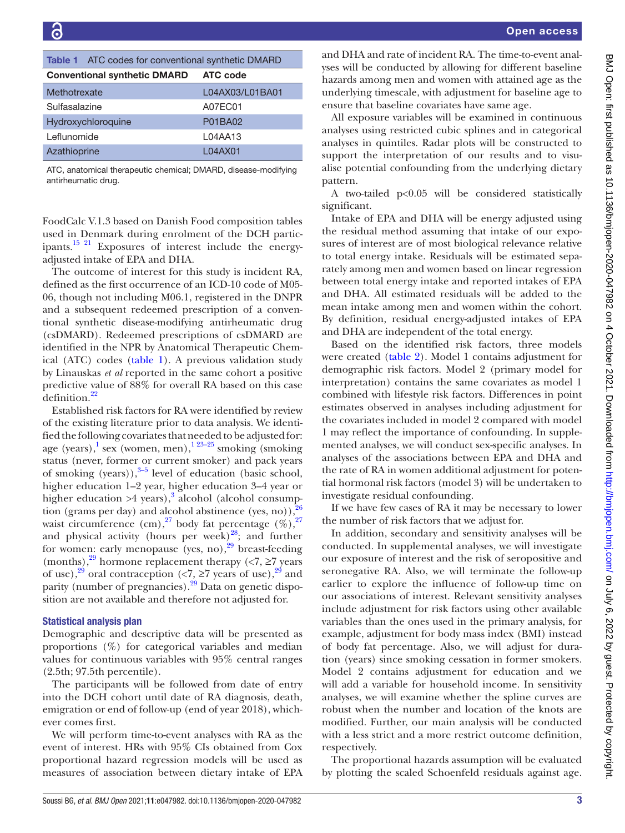<span id="page-2-0"></span>

|                                     | <b>Table 1</b> ATC codes for conventional synthetic DMARD |  |  |
|-------------------------------------|-----------------------------------------------------------|--|--|
| <b>Conventional synthetic DMARD</b> | <b>ATC</b> code                                           |  |  |
| Methotrexate                        | L04AX03/L01BA01                                           |  |  |
| Sulfasalazine                       | A07EC01                                                   |  |  |
| Hydroxychloroquine                  | P01BA02                                                   |  |  |
| Leflunomide                         | L04AA13                                                   |  |  |
| Azathioprine                        | L04AX01                                                   |  |  |

ATC, anatomical therapeutic chemical; DMARD, disease-modifying antirheumatic drug.

FoodCalc V.1.3 based on Danish Food composition tables used in Denmark during enrolment of the DCH participants[.15 21](#page-5-6) Exposures of interest include the energyadjusted intake of EPA and DHA.

The outcome of interest for this study is incident RA, defined as the first occurrence of an ICD-10 code of M05- 06, though not including M06.1, registered in the DNPR and a subsequent redeemed prescription of a conventional synthetic disease-modifying antirheumatic drug (csDMARD). Redeemed prescriptions of csDMARD are identified in the NPR by Anatomical Therapeutic Chemical (ATC) codes [\(table](#page-2-0) 1). A previous validation study by Linauskas *et al* reported in the same cohort a positive predictive value of 88% for overall RA based on this case definition.<sup>22</sup>

Established risk factors for RA were identified by review of the existing literature prior to data analysis. We identified the following covariates that needed to be adjusted for: age (years),  $\frac{1}{1}$  sex (women, men),  $\frac{1}{23-25}$  smoking (smoking) status (never, former or current smoker) and pack years of smoking (years)), $3-5$  level of education (basic school, higher education 1–2 year, higher education 3–4 year or higher education  $>4$  years),<sup>[3](#page-4-4)</sup> alcohol (alcohol consumption (grams per day) and alcohol abstinence (yes, no)), $\frac{3}{2}$ waist circumference (cm),<sup>27</sup> body fat percentage  $(\%)$ ,<sup>27</sup> and physical activity (hours per week) $^{28}$ ; and further for women: early menopause (yes, no), $^{29}$  breast-feeding (months),<sup>29</sup> hormone replacement therapy (<7,  $\geq$ 7 years of use),<sup>29</sup> oral contraception (<7,  $\geq$ 7 years of use),<sup>29</sup> and parity (number of pregnancies). $^{29}$  Data on genetic disposition are not available and therefore not adjusted for.

## Statistical analysis plan

Demographic and descriptive data will be presented as proportions (%) for categorical variables and median values for continuous variables with 95% central ranges (2.5th; 97.5th percentile).

The participants will be followed from date of entry into the DCH cohort until date of RA diagnosis, death, emigration or end of follow-up (end of year 2018), whichever comes first.

We will perform time-to-event analyses with RA as the event of interest. HRs with 95% CIs obtained from Cox proportional hazard regression models will be used as measures of association between dietary intake of EPA

and DHA and rate of incident RA. The time-to-event analyses will be conducted by allowing for different baseline hazards among men and women with attained age as the underlying timescale, with adjustment for baseline age to ensure that baseline covariates have same age.

All exposure variables will be examined in continuous analyses using restricted cubic splines and in categorical analyses in quintiles. Radar plots will be constructed to support the interpretation of our results and to visualise potential confounding from the underlying dietary pattern.

A two-tailed p<0.05 will be considered statistically significant.

Intake of EPA and DHA will be energy adjusted using the residual method assuming that intake of our exposures of interest are of most biological relevance relative to total energy intake. Residuals will be estimated separately among men and women based on linear regression between total energy intake and reported intakes of EPA and DHA. All estimated residuals will be added to the mean intake among men and women within the cohort. By definition, residual energy-adjusted intakes of EPA and DHA are independent of the total energy.

Based on the identified risk factors, three models were created ([table](#page-3-0) 2). Model 1 contains adjustment for demographic risk factors. Model 2 (primary model for interpretation) contains the same covariates as model 1 combined with lifestyle risk factors. Differences in point estimates observed in analyses including adjustment for the covariates included in model 2 compared with model 1 may reflect the importance of confounding. In supplemented analyses, we will conduct sex-specific analyses. In analyses of the associations between EPA and DHA and the rate of RA in women additional adjustment for potential hormonal risk factors (model 3) will be undertaken to investigate residual confounding.

If we have few cases of RA it may be necessary to lower the number of risk factors that we adjust for.

In addition, secondary and sensitivity analyses will be conducted. In supplemental analyses, we will investigate our exposure of interest and the risk of seropositive and seronegative RA. Also, we will terminate the follow-up earlier to explore the influence of follow-up time on our associations of interest. Relevant sensitivity analyses include adjustment for risk factors using other available variables than the ones used in the primary analysis, for example, adjustment for body mass index (BMI) instead of body fat percentage. Also, we will adjust for duration (years) since smoking cessation in former smokers. Model 2 contains adjustment for education and we will add a variable for household income. In sensitivity analyses, we will examine whether the spline curves are robust when the number and location of the knots are modified. Further, our main analysis will be conducted with a less strict and a more restrict outcome definition, respectively.

The proportional hazards assumption will be evaluated by plotting the scaled Schoenfeld residuals against age.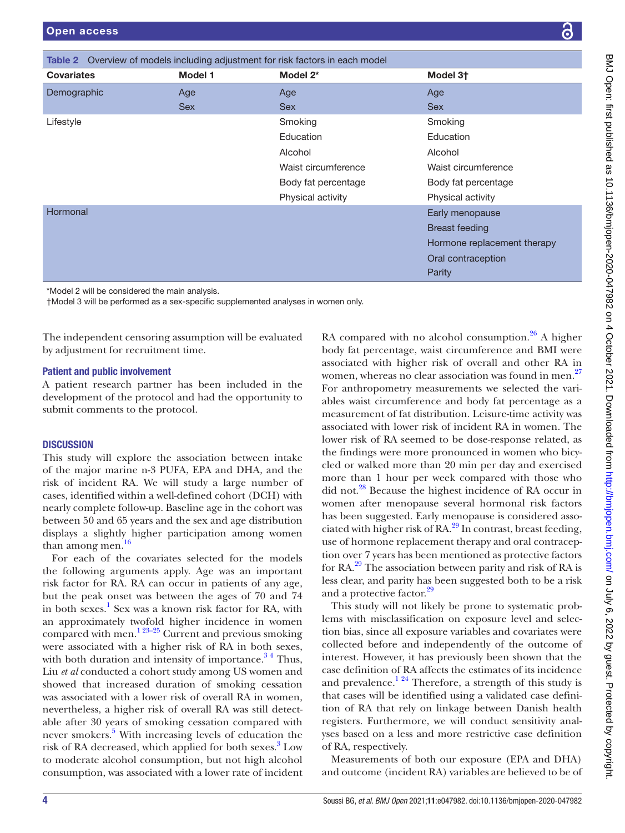<span id="page-3-0"></span>

| <b>Table 2</b> Overview of models including adjustment for risk factors in each model |                |                     |                             |  |
|---------------------------------------------------------------------------------------|----------------|---------------------|-----------------------------|--|
| <b>Covariates</b>                                                                     | <b>Model 1</b> | Model 2*            | Model 3 <sup>+</sup>        |  |
| Demographic                                                                           | Age            | Age                 | Age                         |  |
|                                                                                       | <b>Sex</b>     | <b>Sex</b>          | <b>Sex</b>                  |  |
| Lifestyle                                                                             |                | Smoking             | Smoking                     |  |
|                                                                                       |                | Education           | Education                   |  |
|                                                                                       |                | Alcohol             | Alcohol                     |  |
|                                                                                       |                | Waist circumference | Waist circumference         |  |
|                                                                                       |                | Body fat percentage | Body fat percentage         |  |
|                                                                                       |                | Physical activity   | Physical activity           |  |
| Hormonal                                                                              |                |                     | Early menopause             |  |
|                                                                                       |                |                     | <b>Breast feeding</b>       |  |
|                                                                                       |                |                     | Hormone replacement therapy |  |
|                                                                                       |                |                     | Oral contraception          |  |
|                                                                                       |                |                     | Parity                      |  |

\*Model 2 will be considered the main analysis.

†Model 3 will be performed as a sex-specific supplemented analyses in women only.

The independent censoring assumption will be evaluated by adjustment for recruitment time.

## Patient and public involvement

A patient research partner has been included in the development of the protocol and had the opportunity to submit comments to the protocol.

## **DISCUSSION**

This study will explore the association between intake of the major marine n-3 PUFA, EPA and DHA, and the risk of incident RA. We will study a large number of cases, identified within a well-defined cohort (DCH) with nearly complete follow-up. Baseline age in the cohort was between 50 and 65 years and the sex and age distribution displays a slightly higher participation among women than among men.<sup>16</sup>

For each of the covariates selected for the models the following arguments apply. Age was an important risk factor for RA. RA can occur in patients of any age, but the peak onset was between the ages of 70 and 74 in both sexes.<sup>[1](#page-4-0)</sup> Sex was a known risk factor for RA, with an approximately twofold higher incidence in women compared with men.<sup>1 23–25</sup> Current and previous smoking were associated with a higher risk of RA in both sexes, with both duration and intensity of importance. $3<sup>4</sup>$  Thus, Liu *et al* conducted a cohort study among US women and showed that increased duration of smoking cessation was associated with a lower risk of overall RA in women, nevertheless, a higher risk of overall RA was still detectable after 30 years of smoking cessation compared with never smokers.<sup>[5](#page-4-5)</sup> With increasing levels of education the risk of RA decreased, which applied for both sexes.<sup>[3](#page-4-4)</sup> Low to moderate alcohol consumption, but not high alcohol consumption, was associated with a lower rate of incident

RA compared with no alcohol consumption.<sup>26</sup> A higher body fat percentage, waist circumference and BMI were associated with higher risk of overall and other RA in women, whereas no clear association was found in men.<sup>[27](#page-5-13)</sup> For anthropometry measurements we selected the variables waist circumference and body fat percentage as a measurement of fat distribution. Leisure-time activity was associated with lower risk of incident RA in women. The lower risk of RA seemed to be dose-response related, as the findings were more pronounced in women who bicycled or walked more than 20 min per day and exercised more than 1 hour per week compared with those who did not.<sup>28</sup> Because the highest incidence of RA occur in women after menopause several hormonal risk factors has been suggested. Early menopause is considered associated with higher risk of  $RA<sup>29</sup>$  In contrast, breast feeding, use of hormone replacement therapy and oral contraception over 7 years has been mentioned as protective factors for RA[.29](#page-5-15) The association between parity and risk of RA is less clear, and parity has been suggested both to be a risk and a protective factor.<sup>[29](#page-5-15)</sup>

This study will not likely be prone to systematic problems with misclassification on exposure level and selection bias, since all exposure variables and covariates were collected before and independently of the outcome of interest. However, it has previously been shown that the case definition of RA affects the estimates of its incidence and prevalence.<sup>[1 24](#page-4-0)</sup> Therefore, a strength of this study is that cases will be identified using a validated case definition of RA that rely on linkage between Danish health registers. Furthermore, we will conduct sensitivity analyses based on a less and more restrictive case definition of RA, respectively.

Measurements of both our exposure (EPA and DHA) and outcome (incident RA) variables are believed to be of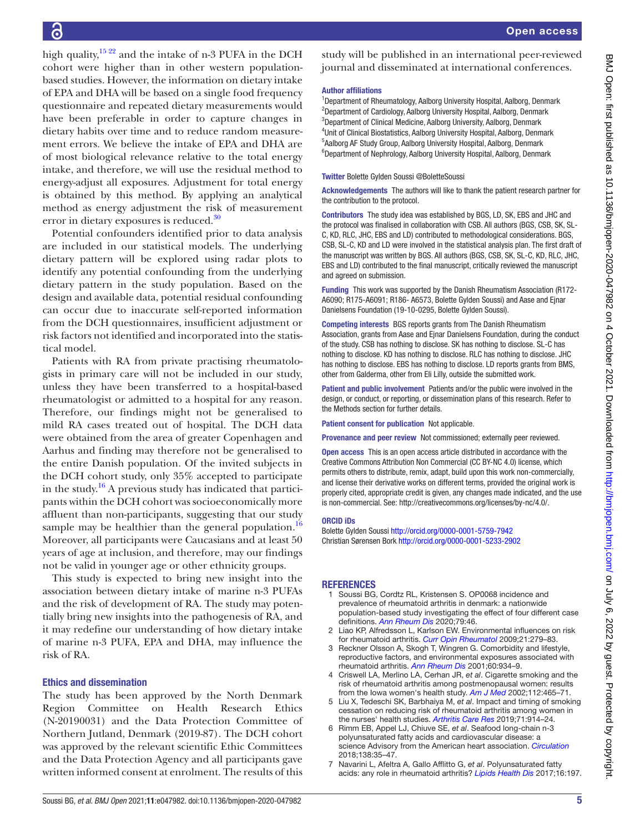high quality,  $15 \frac{22}{2}$  and the intake of n-3 PUFA in the DCH cohort were higher than in other western populationbased studies. However, the information on dietary intake of EPA and DHA will be based on a single food frequency questionnaire and repeated dietary measurements would have been preferable in order to capture changes in dietary habits over time and to reduce random measurement errors. We believe the intake of EPA and DHA are of most biological relevance relative to the total energy intake, and therefore, we will use the residual method to energy-adjust all exposures. Adjustment for total energy is obtained by this method. By applying an analytical method as energy adjustment the risk of measurement error in dietary exposures is reduced.<sup>[30](#page-5-16)</sup>

Potential confounders identified prior to data analysis are included in our statistical models. The underlying dietary pattern will be explored using radar plots to identify any potential confounding from the underlying dietary pattern in the study population. Based on the design and available data, potential residual confounding can occur due to inaccurate self-reported information from the DCH questionnaires, insufficient adjustment or risk factors not identified and incorporated into the statistical model.

Patients with RA from private practising rheumatologists in primary care will not be included in our study, unless they have been transferred to a hospital-based rheumatologist or admitted to a hospital for any reason. Therefore, our findings might not be generalised to mild RA cases treated out of hospital. The DCH data were obtained from the area of greater Copenhagen and Aarhus and finding may therefore not be generalised to the entire Danish population. Of the invited subjects in the DCH cohort study, only 35% accepted to participate in the study.<sup>[16](#page-5-7)</sup> A previous study has indicated that participants within the DCH cohort was socioeconomically more affluent than non-participants, suggesting that our study sample may be healthier than the general population.<sup>[16](#page-5-7)</sup> Moreover, all participants were Caucasians and at least 50 years of age at inclusion, and therefore, may our findings not be valid in younger age or other ethnicity groups.

This study is expected to bring new insight into the association between dietary intake of marine n-3 PUFAs and the risk of development of RA. The study may potentially bring new insights into the pathogenesis of RA, and it may redefine our understanding of how dietary intake of marine n-3 PUFA, EPA and DHA, may influence the risk of RA.

## Ethics and dissemination

The study has been approved by the North Denmark Region Committee on Health Research Ethics (N-20190031) and the Data Protection Committee of Northern Jutland, Denmark (2019-87). The DCH cohort was approved by the relevant scientific Ethic Committees and the Data Protection Agency and all participants gave written informed consent at enrolment. The results of this

study will be published in an international peer-reviewed journal and disseminated at international conferences.

#### Author affiliations

<sup>1</sup>Department of Rheumatology, Aalborg University Hospital, Aalborg, Denmark <sup>2</sup>Department of Cardiology, Aalborg University Hospital, Aalborg, Denmark <sup>3</sup>Department of Clinical Medicine, Aalborg University, Aalborg, Denmark <sup>4</sup>Unit of Clinical Biostatistics, Aalborg University Hospital, Aalborg, Denmark 5 Aalborg AF Study Group, Aalborg University Hospital, Aalborg, Denmark <sup>6</sup>Department of Nephrology, Aalborg University Hospital, Aalborg, Denmark

Twitter Bolette Gylden Soussi [@BoletteSoussi](https://twitter.com/BoletteSoussi)

Acknowledgements The authors will like to thank the patient research partner for the contribution to the protocol.

Contributors The study idea was established by BGS, LD, SK, EBS and JHC and the protocol was finalised in collaboration with CSB. All authors (BGS, CSB, SK, SL-C, KD, RLC, JHC, EBS and LD) contributed to methodological considerations. BGS, CSB, SL-C, KD and LD were involved in the statistical analysis plan. The first draft of the manuscript was written by BGS. All authors (BGS, CSB, SK, SL-C, KD, RLC, JHC, EBS and LD) contributed to the final manuscript, critically reviewed the manuscript and agreed on submission.

Funding This work was supported by the Danish Rheumatism Association (R172- A6090; R175-A6091; R186- A6573, Bolette Gylden Soussi) and Aase and Ejnar Danielsens Foundation (19-10-0295, Bolette Gylden Soussi).

Competing interests BGS reports grants from The Danish Rheumatism Association, grants from Aase and Ejnar Danielsens Foundation, during the conduct of the study. CSB has nothing to disclose. SK has nothing to disclose. SL-C has nothing to disclose. KD has nothing to disclose. RLC has nothing to disclose. JHC has nothing to disclose. EBS has nothing to disclose. LD reports grants from BMS, other from Galderma, other from Eli Lilly, outside the submitted work.

Patient and public involvement Patients and/or the public were involved in the design, or conduct, or reporting, or dissemination plans of this research. Refer to the Methods section for further details.

Patient consent for publication Not applicable.

Provenance and peer review Not commissioned; externally peer reviewed.

Open access This is an open access article distributed in accordance with the Creative Commons Attribution Non Commercial (CC BY-NC 4.0) license, which permits others to distribute, remix, adapt, build upon this work non-commercially, and license their derivative works on different terms, provided the original work is properly cited, appropriate credit is given, any changes made indicated, and the use is non-commercial. See: [http://creativecommons.org/licenses/by-nc/4.0/.](http://creativecommons.org/licenses/by-nc/4.0/)

## ORCID iDs

Bolette Gylden Soussi <http://orcid.org/0000-0001-5759-7942> Christian Sørensen Bork<http://orcid.org/0000-0001-5233-2902>

## **REFERENCES**

- <span id="page-4-0"></span>1 Soussi BG, Cordtz RL, Kristensen S. OP0068 incidence and prevalence of rheumatoid arthritis in denmark: a nationwide population-based study investigating the effect of four different case definitions. *[Ann Rheum Dis](http://dx.doi.org/10.1136/annrheumdis-2020-eular.891)* 2020;79:46.
- <span id="page-4-1"></span>Liao KP, Alfredsson L, Karlson EW. Environmental influences on risk for rheumatoid arthritis. *[Curr Opin Rheumatol](http://dx.doi.org/10.1097/BOR.0b013e32832a2e16)* 2009;21:279–83.
- <span id="page-4-4"></span>3 Reckner Olsson A, Skogh T, Wingren G. Comorbidity and lifestyle, reproductive factors, and environmental exposures associated with rheumatoid arthritis. *[Ann Rheum Dis](http://dx.doi.org/10.1136/ard.60.10.934)* 2001;60:934–9.
- 4 Criswell LA, Merlino LA, Cerhan JR, *et al*. Cigarette smoking and the risk of rheumatoid arthritis among postmenopausal women: results from the Iowa women's health study. *[Am J Med](http://dx.doi.org/10.1016/s0002-9343(02)01051-3)* 2002;112:465–71.
- <span id="page-4-5"></span>5 Liu X, Tedeschi SK, Barbhaiya M, *et al*. Impact and timing of smoking cessation on reducing risk of rheumatoid arthritis among women in the nurses' health studies. *[Arthritis Care Res](http://dx.doi.org/10.1002/acr.23837)* 2019;71:914–24.
- <span id="page-4-2"></span>6 Rimm EB, Appel LJ, Chiuve SE, *et al*. Seafood long-chain n-3 polyunsaturated fatty acids and cardiovascular disease: a science Advisory from the American heart association. *[Circulation](http://dx.doi.org/10.1161/CIR.0000000000000574)* 2018;138:35–47.
- <span id="page-4-3"></span>7 Navarini L, Afeltra A, Gallo Afflitto G, *et al*. Polyunsaturated fatty acids: any role in rheumatoid arthritis? *[Lipids Health Dis](http://dx.doi.org/10.1186/s12944-017-0586-3)* 2017;16:197.